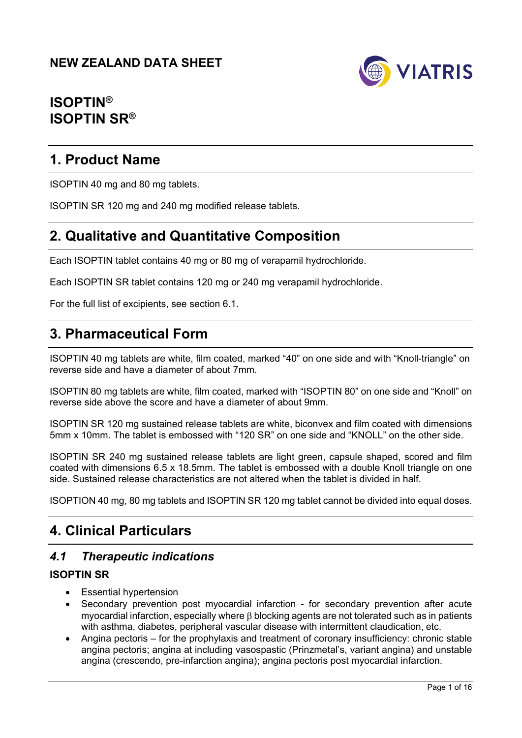

# **ISOPTIN® ISOPTIN SR®**

# **1. Product Name**

ISOPTIN 40 mg and 80 mg tablets.

ISOPTIN SR 120 mg and 240 mg modified release tablets.

# **2. Qualitative and Quantitative Composition**

Each ISOPTIN tablet contains 40 mg or 80 mg of verapamil hydrochloride.

Each ISOPTIN SR tablet contains 120 mg or 240 mg verapamil hydrochloride.

For the full list of excipients, see section 6.1.

# **3. Pharmaceutical Form**

ISOPTIN 40 mg tablets are white, film coated, marked "40" on one side and with "Knoll-triangle" on reverse side and have a diameter of about 7mm.

ISOPTIN 80 mg tablets are white, film coated, marked with "ISOPTIN 80" on one side and "Knoll" on reverse side above the score and have a diameter of about 9mm.

ISOPTIN SR 120 mg sustained release tablets are white, biconvex and film coated with dimensions 5mm x 10mm. The tablet is embossed with "120 SR" on one side and "KNOLL" on the other side.

ISOPTIN SR 240 mg sustained release tablets are light green, capsule shaped, scored and film coated with dimensions 6.5 x 18.5mm. The tablet is embossed with a double Knoll triangle on one side. Sustained release characteristics are not altered when the tablet is divided in half.

ISOPTION 40 mg, 80 mg tablets and ISOPTIN SR 120 mg tablet cannot be divided into equal doses.

# **4. Clinical Particulars**

# *4.1 Therapeutic indications*

## **ISOPTIN SR**

- Essential hypertension
- Secondary prevention post myocardial infarction for secondary prevention after acute myocardial infarction, especially where  $\beta$  blocking agents are not tolerated such as in patients with asthma, diabetes, peripheral vascular disease with intermittent claudication, etc.
- Angina pectoris for the prophylaxis and treatment of coronary insufficiency: chronic stable angina pectoris; angina at including vasospastic (Prinzmetal's, variant angina) and unstable angina (crescendo, pre-infarction angina); angina pectoris post myocardial infarction.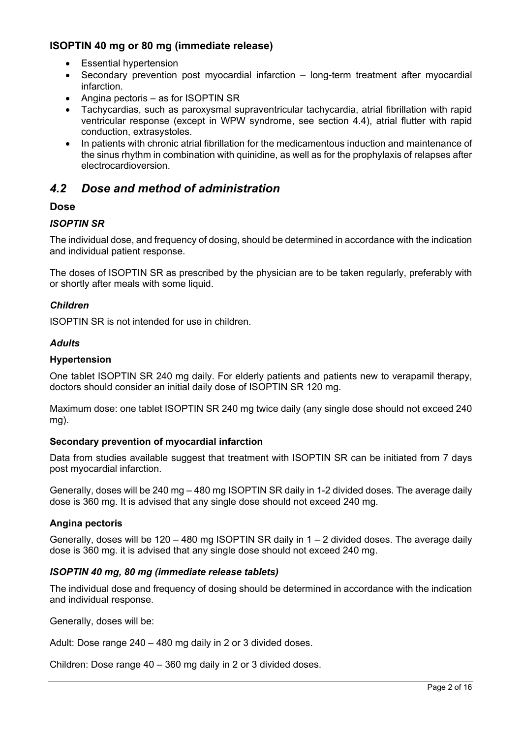## **ISOPTIN 40 mg or 80 mg (immediate release)**

- Essential hypertension
- Secondary prevention post myocardial infarction long-term treatment after myocardial infarction.
- Angina pectoris as for ISOPTIN SR
- Tachycardias, such as paroxysmal supraventricular tachycardia, atrial fibrillation with rapid ventricular response (except in WPW syndrome, see section 4.4), atrial flutter with rapid conduction, extrasystoles.
- In patients with chronic atrial fibrillation for the medicamentous induction and maintenance of the sinus rhythm in combination with quinidine, as well as for the prophylaxis of relapses after electrocardioversion.

# *4.2 Dose and method of administration*

## **Dose**

## *ISOPTIN SR*

The individual dose, and frequency of dosing, should be determined in accordance with the indication and individual patient response.

The doses of ISOPTIN SR as prescribed by the physician are to be taken regularly, preferably with or shortly after meals with some liquid.

## *Children*

ISOPTIN SR is not intended for use in children.

## *Adults*

## **Hypertension**

One tablet ISOPTIN SR 240 mg daily. For elderly patients and patients new to verapamil therapy, doctors should consider an initial daily dose of ISOPTIN SR 120 mg.

Maximum dose: one tablet ISOPTIN SR 240 mg twice daily (any single dose should not exceed 240 mg).

## **Secondary prevention of myocardial infarction**

Data from studies available suggest that treatment with ISOPTIN SR can be initiated from 7 days post myocardial infarction.

Generally, doses will be 240 mg – 480 mg ISOPTIN SR daily in 1-2 divided doses. The average daily dose is 360 mg. It is advised that any single dose should not exceed 240 mg.

## **Angina pectoris**

Generally, doses will be  $120 - 480$  mg ISOPTIN SR daily in  $1 - 2$  divided doses. The average daily dose is 360 mg. it is advised that any single dose should not exceed 240 mg.

## *ISOPTIN 40 mg, 80 mg (immediate release tablets)*

The individual dose and frequency of dosing should be determined in accordance with the indication and individual response.

Generally, doses will be:

Adult: Dose range 240 – 480 mg daily in 2 or 3 divided doses.

Children: Dose range 40 – 360 mg daily in 2 or 3 divided doses.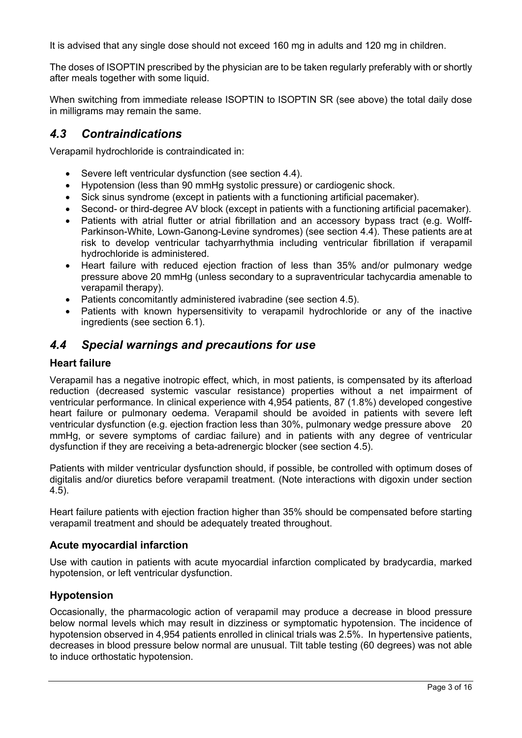It is advised that any single dose should not exceed 160 mg in adults and 120 mg in children.

The doses of ISOPTIN prescribed by the physician are to be taken regularly preferably with or shortly after meals together with some liquid.

When switching from immediate release ISOPTIN to ISOPTIN SR (see above) the total daily dose in milligrams may remain the same.

## *4.3 Contraindications*

Verapamil hydrochloride is contraindicated in:

- Severe left ventricular dysfunction (see section 4.4).
- Hypotension (less than 90 mmHg systolic pressure) or cardiogenic shock.
- Sick sinus syndrome (except in patients with a functioning artificial pacemaker).
- Second- or third-degree AV block (except in patients with a functioning artificial pacemaker).
- Patients with atrial flutter or atrial fibrillation and an accessory bypass tract (e.g. Wolff-Parkinson-White, Lown-Ganong-Levine syndromes) (see section 4.4). These patients are at risk to develop ventricular tachyarrhythmia including ventricular fibrillation if verapamil hydrochloride is administered.
- Heart failure with reduced ejection fraction of less than 35% and/or pulmonary wedge pressure above 20 mmHg (unless secondary to a supraventricular tachycardia amenable to verapamil therapy).
- Patients concomitantly administered ivabradine (see section 4.5).
- Patients with known hypersensitivity to verapamil hydrochloride or any of the inactive ingredients (see section 6.1).

# *4.4 Special warnings and precautions for use*

## **Heart failure**

Verapamil has a negative inotropic effect, which, in most patients, is compensated by its afterload reduction (decreased systemic vascular resistance) properties without a net impairment of ventricular performance. In clinical experience with 4,954 patients, 87 (1.8%) developed congestive heart failure or pulmonary oedema. Verapamil should be avoided in patients with severe left ventricular dysfunction (e.g. ejection fraction less than 30%, pulmonary wedge pressure above 20 mmHg, or severe symptoms of cardiac failure) and in patients with any degree of ventricular dysfunction if they are receiving a beta-adrenergic blocker (see section 4.5).

Patients with milder ventricular dysfunction should, if possible, be controlled with optimum doses of digitalis and/or diuretics before verapamil treatment. (Note interactions with digoxin under section 4.5).

Heart failure patients with ejection fraction higher than 35% should be compensated before starting verapamil treatment and should be adequately treated throughout.

## **Acute myocardial infarction**

Use with caution in patients with acute myocardial infarction complicated by bradycardia, marked hypotension, or left ventricular dysfunction.

## **Hypotension**

Occasionally, the pharmacologic action of verapamil may produce a decrease in blood pressure below normal levels which may result in dizziness or symptomatic hypotension. The incidence of hypotension observed in 4,954 patients enrolled in clinical trials was 2.5%. In hypertensive patients, decreases in blood pressure below normal are unusual. Tilt table testing (60 degrees) was not able to induce orthostatic hypotension.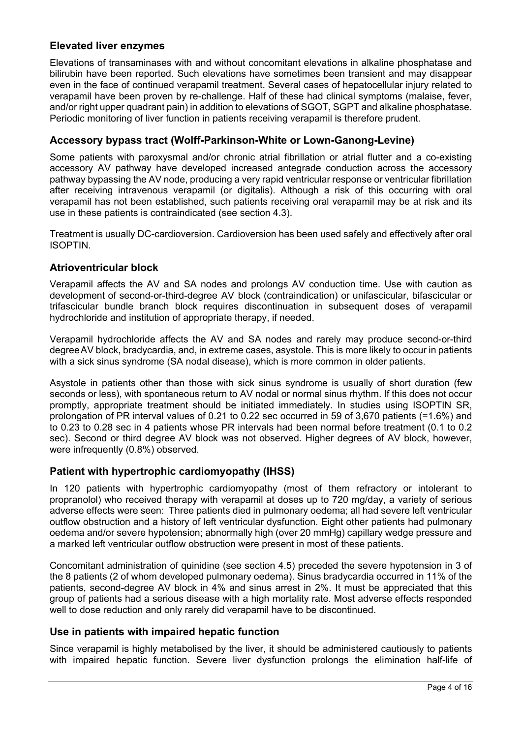## **Elevated liver enzymes**

Elevations of transaminases with and without concomitant elevations in alkaline phosphatase and bilirubin have been reported. Such elevations have sometimes been transient and may disappear even in the face of continued verapamil treatment. Several cases of hepatocellular injury related to verapamil have been proven by re-challenge. Half of these had clinical symptoms (malaise, fever, and/or right upper quadrant pain) in addition to elevations of SGOT, SGPT and alkaline phosphatase. Periodic monitoring of liver function in patients receiving verapamil is therefore prudent.

## **Accessory bypass tract (Wolff-Parkinson-White or Lown-Ganong-Levine)**

Some patients with paroxysmal and/or chronic atrial fibrillation or atrial flutter and a co-existing accessory AV pathway have developed increased antegrade conduction across the accessory pathway bypassing the AV node, producing a very rapid ventricular response or ventricular fibrillation after receiving intravenous verapamil (or digitalis). Although a risk of this occurring with oral verapamil has not been established, such patients receiving oral verapamil may be at risk and its use in these patients is contraindicated (see section 4.3).

Treatment is usually DC-cardioversion. Cardioversion has been used safely and effectively after oral ISOPTIN.

## **Atrioventricular block**

Verapamil affects the AV and SA nodes and prolongs AV conduction time. Use with caution as development of second-or-third-degree AV block (contraindication) or unifascicular, bifascicular or trifascicular bundle branch block requires discontinuation in subsequent doses of verapamil hydrochloride and institution of appropriate therapy, if needed.

Verapamil hydrochloride affects the AV and SA nodes and rarely may produce second-or-third degree AV block, bradycardia, and, in extreme cases, asystole. This is more likely to occur in patients with a sick sinus syndrome (SA nodal disease), which is more common in older patients.

Asystole in patients other than those with sick sinus syndrome is usually of short duration (few seconds or less), with spontaneous return to AV nodal or normal sinus rhythm. If this does not occur promptly, appropriate treatment should be initiated immediately. In studies using ISOPTIN SR, prolongation of PR interval values of 0.21 to 0.22 sec occurred in 59 of 3,670 patients (=1.6%) and to 0.23 to 0.28 sec in 4 patients whose PR intervals had been normal before treatment (0.1 to 0.2 sec). Second or third degree AV block was not observed. Higher degrees of AV block, however, were infrequently (0.8%) observed.

## **Patient with hypertrophic cardiomyopathy (IHSS)**

In 120 patients with hypertrophic cardiomyopathy (most of them refractory or intolerant to propranolol) who received therapy with verapamil at doses up to 720 mg/day, a variety of serious adverse effects were seen: Three patients died in pulmonary oedema; all had severe left ventricular outflow obstruction and a history of left ventricular dysfunction. Eight other patients had pulmonary oedema and/or severe hypotension; abnormally high (over 20 mmHg) capillary wedge pressure and a marked left ventricular outflow obstruction were present in most of these patients.

Concomitant administration of quinidine (see section 4.5) preceded the severe hypotension in 3 of the 8 patients (2 of whom developed pulmonary oedema). Sinus bradycardia occurred in 11% of the patients, second-degree AV block in 4% and sinus arrest in 2%. It must be appreciated that this group of patients had a serious disease with a high mortality rate. Most adverse effects responded well to dose reduction and only rarely did verapamil have to be discontinued.

## **Use in patients with impaired hepatic function**

Since verapamil is highly metabolised by the liver, it should be administered cautiously to patients with impaired hepatic function. Severe liver dysfunction prolongs the elimination half-life of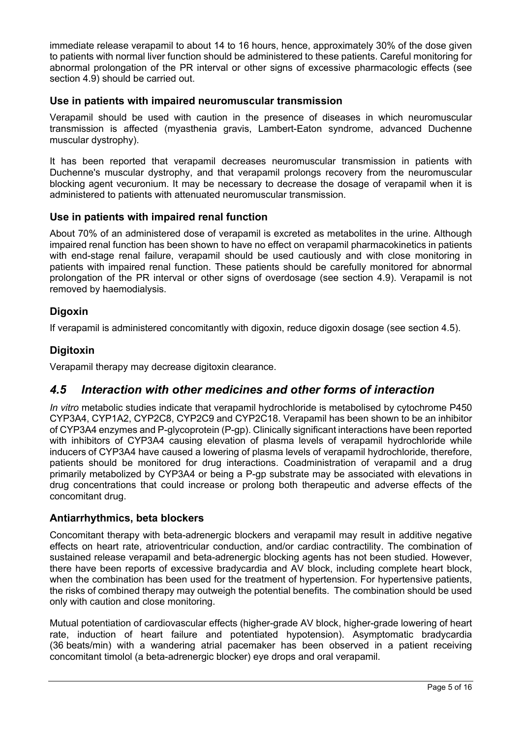immediate release verapamil to about 14 to 16 hours, hence, approximately 30% of the dose given to patients with normal liver function should be administered to these patients. Careful monitoring for abnormal prolongation of the PR interval or other signs of excessive pharmacologic effects (see section 4.9) should be carried out.

## **Use in patients with impaired neuromuscular transmission**

Verapamil should be used with caution in the presence of diseases in which neuromuscular transmission is affected (myasthenia gravis, Lambert-Eaton syndrome, advanced Duchenne muscular dystrophy).

It has been reported that verapamil decreases neuromuscular transmission in patients with Duchenne's muscular dystrophy, and that verapamil prolongs recovery from the neuromuscular blocking agent vecuronium. It may be necessary to decrease the dosage of verapamil when it is administered to patients with attenuated neuromuscular transmission.

## **Use in patients with impaired renal function**

About 70% of an administered dose of verapamil is excreted as metabolites in the urine. Although impaired renal function has been shown to have no effect on verapamil pharmacokinetics in patients with end-stage renal failure, verapamil should be used cautiously and with close monitoring in patients with impaired renal function. These patients should be carefully monitored for abnormal prolongation of the PR interval or other signs of overdosage (see section 4.9). Verapamil is not removed by haemodialysis.

## **Digoxin**

If verapamil is administered concomitantly with digoxin, reduce digoxin dosage (see section 4.5).

## **Digitoxin**

Verapamil therapy may decrease digitoxin clearance.

## *4.5 Interaction with other medicines and other forms of interaction*

*In vitro* metabolic studies indicate that verapamil hydrochloride is metabolised by cytochrome P450 CYP3A4, CYP1A2, CYP2C8, CYP2C9 and CYP2C18. Verapamil has been shown to be an inhibitor of CYP3A4 enzymes and P-glycoprotein (P-gp). Clinically significant interactions have been reported with inhibitors of CYP3A4 causing elevation of plasma levels of verapamil hydrochloride while inducers of CYP3A4 have caused a lowering of plasma levels of verapamil hydrochloride, therefore, patients should be monitored for drug interactions. Coadministration of verapamil and a drug primarily metabolized by CYP3A4 or being a P-gp substrate may be associated with elevations in drug concentrations that could increase or prolong both therapeutic and adverse effects of the concomitant drug.

## **Antiarrhythmics, beta blockers**

Concomitant therapy with beta-adrenergic blockers and verapamil may result in additive negative effects on heart rate, atrioventricular conduction, and/or cardiac contractility. The combination of sustained release verapamil and beta-adrenergic blocking agents has not been studied. However, there have been reports of excessive bradycardia and AV block, including complete heart block, when the combination has been used for the treatment of hypertension. For hypertensive patients, the risks of combined therapy may outweigh the potential benefits. The combination should be used only with caution and close monitoring.

Mutual potentiation of cardiovascular effects (higher-grade AV block, higher-grade lowering of heart rate, induction of heart failure and potentiated hypotension). Asymptomatic bradycardia (36 beats/min) with a wandering atrial pacemaker has been observed in a patient receiving concomitant timolol (a beta-adrenergic blocker) eye drops and oral verapamil.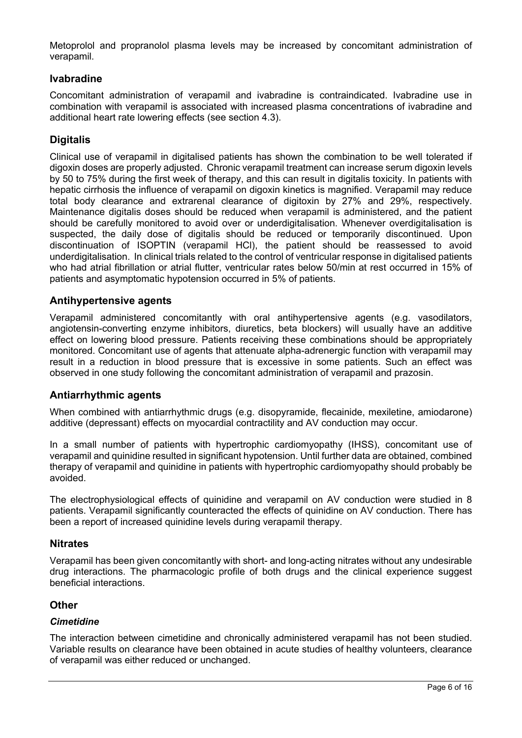Metoprolol and propranolol plasma levels may be increased by concomitant administration of verapamil.

## **Ivabradine**

Concomitant administration of verapamil and ivabradine is contraindicated. Ivabradine use in combination with verapamil is associated with increased plasma concentrations of ivabradine and additional heart rate lowering effects (see section 4.3).

## **Digitalis**

Clinical use of verapamil in digitalised patients has shown the combination to be well tolerated if digoxin doses are properly adjusted. Chronic verapamil treatment can increase serum digoxin levels by 50 to 75% during the first week of therapy, and this can result in digitalis toxicity. In patients with hepatic cirrhosis the influence of verapamil on digoxin kinetics is magnified. Verapamil may reduce total body clearance and extrarenal clearance of digitoxin by 27% and 29%, respectively. Maintenance digitalis doses should be reduced when verapamil is administered, and the patient should be carefully monitored to avoid over or underdigitalisation. Whenever overdigitalisation is suspected, the daily dose of digitalis should be reduced or temporarily discontinued. Upon discontinuation of ISOPTIN (verapamil HCl), the patient should be reassessed to avoid underdigitalisation. In clinical trials related to the control of ventricular response in digitalised patients who had atrial fibrillation or atrial flutter, ventricular rates below 50/min at rest occurred in 15% of patients and asymptomatic hypotension occurred in 5% of patients.

## **Antihypertensive agents**

Verapamil administered concomitantly with oral antihypertensive agents (e.g. vasodilators, angiotensin-converting enzyme inhibitors, diuretics, beta blockers) will usually have an additive effect on lowering blood pressure. Patients receiving these combinations should be appropriately monitored. Concomitant use of agents that attenuate alpha-adrenergic function with verapamil may result in a reduction in blood pressure that is excessive in some patients. Such an effect was observed in one study following the concomitant administration of verapamil and prazosin.

## **Antiarrhythmic agents**

When combined with antiarrhythmic drugs (e.g. disopyramide, flecainide, mexiletine, amiodarone) additive (depressant) effects on myocardial contractility and AV conduction may occur.

In a small number of patients with hypertrophic cardiomyopathy (IHSS), concomitant use of verapamil and quinidine resulted in significant hypotension. Until further data are obtained, combined therapy of verapamil and quinidine in patients with hypertrophic cardiomyopathy should probably be avoided.

The electrophysiological effects of quinidine and verapamil on AV conduction were studied in 8 patients. Verapamil significantly counteracted the effects of quinidine on AV conduction. There has been a report of increased quinidine levels during verapamil therapy.

## **Nitrates**

Verapamil has been given concomitantly with short- and long-acting nitrates without any undesirable drug interactions. The pharmacologic profile of both drugs and the clinical experience suggest beneficial interactions.

## **Other**

#### *Cimetidine*

The interaction between cimetidine and chronically administered verapamil has not been studied. Variable results on clearance have been obtained in acute studies of healthy volunteers, clearance of verapamil was either reduced or unchanged.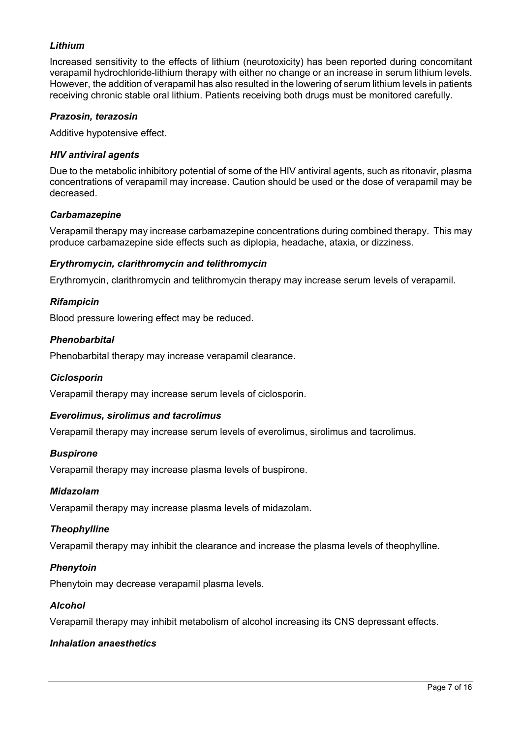## *Lithium*

Increased sensitivity to the effects of lithium (neurotoxicity) has been reported during concomitant verapamil hydrochloride-lithium therapy with either no change or an increase in serum lithium levels. However, the addition of verapamil has also resulted in the lowering of serum lithium levels in patients receiving chronic stable oral lithium. Patients receiving both drugs must be monitored carefully.

## *Prazosin, terazosin*

Additive hypotensive effect.

#### *HIV antiviral agents*

Due to the metabolic inhibitory potential of some of the HIV antiviral agents, such as ritonavir, plasma concentrations of verapamil may increase. Caution should be used or the dose of verapamil may be decreased.

#### *Carbamazepine*

Verapamil therapy may increase carbamazepine concentrations during combined therapy. This may produce carbamazepine side effects such as diplopia, headache, ataxia, or dizziness.

#### *Erythromycin, clarithromycin and telithromycin*

Erythromycin, clarithromycin and telithromycin therapy may increase serum levels of verapamil.

#### *Rifampicin*

Blood pressure lowering effect may be reduced.

#### *Phenobarbital*

Phenobarbital therapy may increase verapamil clearance.

#### *Ciclosporin*

Verapamil therapy may increase serum levels of ciclosporin.

## *Everolimus, sirolimus and tacrolimus*

Verapamil therapy may increase serum levels of everolimus, sirolimus and tacrolimus.

#### *Buspirone*

Verapamil therapy may increase plasma levels of buspirone.

#### *Midazolam*

Verapamil therapy may increase plasma levels of midazolam.

## *Theophylline*

Verapamil therapy may inhibit the clearance and increase the plasma levels of theophylline.

#### *Phenytoin*

Phenytoin may decrease verapamil plasma levels.

#### *Alcohol*

Verapamil therapy may inhibit metabolism of alcohol increasing its CNS depressant effects.

## *Inhalation anaesthetics*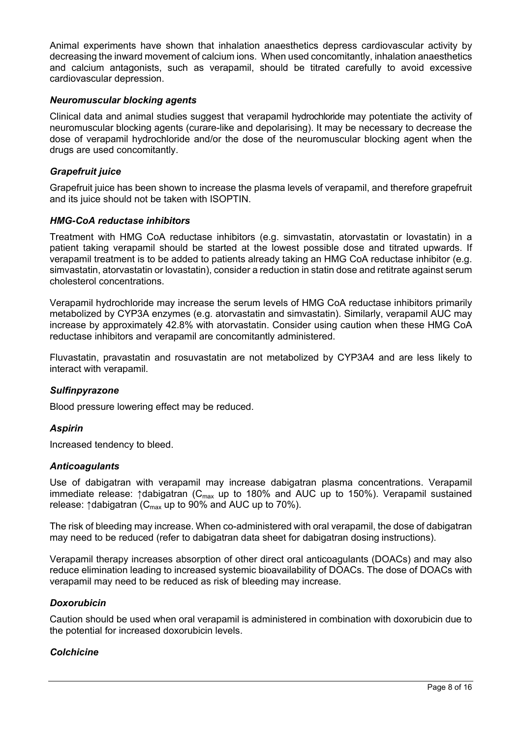Animal experiments have shown that inhalation anaesthetics depress cardiovascular activity by decreasing the inward movement of calcium ions. When used concomitantly, inhalation anaesthetics and calcium antagonists, such as verapamil, should be titrated carefully to avoid excessive cardiovascular depression.

#### *Neuromuscular blocking agents*

Clinical data and animal studies suggest that verapamil hydrochloride may potentiate the activity of neuromuscular blocking agents (curare-like and depolarising). It may be necessary to decrease the dose of verapamil hydrochloride and/or the dose of the neuromuscular blocking agent when the drugs are used concomitantly.

#### *Grapefruit juice*

Grapefruit juice has been shown to increase the plasma levels of verapamil, and therefore grapefruit and its juice should not be taken with ISOPTIN.

#### *HMG-CoA reductase inhibitors*

Treatment with HMG CoA reductase inhibitors (e.g. simvastatin, atorvastatin or lovastatin) in a patient taking verapamil should be started at the lowest possible dose and titrated upwards. If verapamil treatment is to be added to patients already taking an HMG CoA reductase inhibitor (e.g. simvastatin, atorvastatin or lovastatin), consider a reduction in statin dose and retitrate against serum cholesterol concentrations.

Verapamil hydrochloride may increase the serum levels of HMG CoA reductase inhibitors primarily metabolized by CYP3A enzymes (e.g. atorvastatin and simvastatin). Similarly, verapamil AUC may increase by approximately 42.8% with atorvastatin. Consider using caution when these HMG CoA reductase inhibitors and verapamil are concomitantly administered.

Fluvastatin, pravastatin and rosuvastatin are not metabolized by CYP3A4 and are less likely to interact with verapamil.

## *Sulfinpyrazone*

Blood pressure lowering effect may be reduced.

#### *Aspirin*

Increased tendency to bleed.

#### *Anticoagulants*

Use of dabigatran with verapamil may increase dabigatran plasma concentrations. Verapamil immediate release:  $\uparrow$ dabigatran (C<sub>max</sub> up to 180% and AUC up to 150%). Verapamil sustained release:  $\uparrow$ dabigatran (C<sub>max</sub> up to 90% and AUC up to 70%).

The risk of bleeding may increase. When co-administered with oral verapamil, the dose of dabigatran may need to be reduced (refer to dabigatran data sheet for dabigatran dosing instructions).

Verapamil therapy increases absorption of other direct oral anticoagulants (DOACs) and may also reduce elimination leading to increased systemic bioavailability of DOACs. The dose of DOACs with verapamil may need to be reduced as risk of bleeding may increase.

#### *Doxorubicin*

Caution should be used when oral verapamil is administered in combination with doxorubicin due to the potential for increased doxorubicin levels.

## *Colchicine*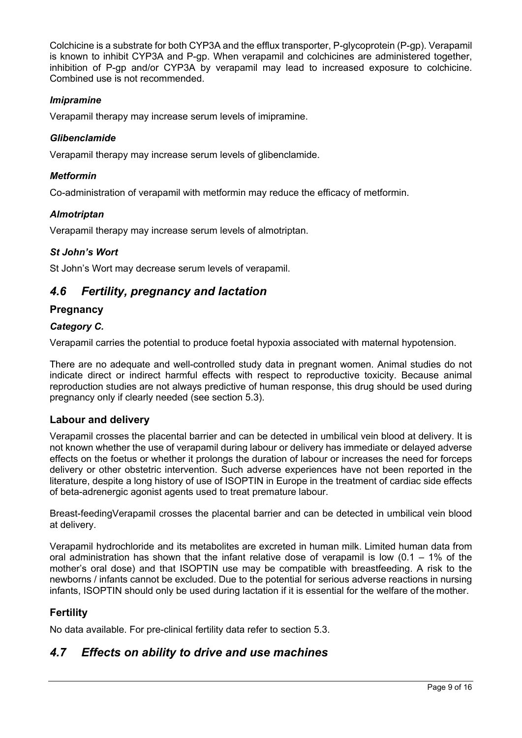Colchicine is a substrate for both CYP3A and the efflux transporter, P-glycoprotein (P-gp). Verapamil is known to inhibit CYP3A and P-gp. When verapamil and colchicines are administered together, inhibition of P-gp and/or CYP3A by verapamil may lead to increased exposure to colchicine. Combined use is not recommended.

## *Imipramine*

Verapamil therapy may increase serum levels of imipramine.

#### *Glibenclamide*

Verapamil therapy may increase serum levels of glibenclamide.

#### *Metformin*

Co-administration of verapamil with metformin may reduce the efficacy of metformin.

#### *Almotriptan*

Verapamil therapy may increase serum levels of almotriptan.

#### *St John's Wort*

St John's Wort may decrease serum levels of verapamil.

## *4.6 Fertility, pregnancy and lactation*

#### **Pregnancy**

#### *Category C.*

Verapamil carries the potential to produce foetal hypoxia associated with maternal hypotension.

There are no adequate and well-controlled study data in pregnant women. Animal studies do not indicate direct or indirect harmful effects with respect to reproductive toxicity. Because animal reproduction studies are not always predictive of human response, this drug should be used during pregnancy only if clearly needed (see section 5.3).

## **Labour and delivery**

Verapamil crosses the placental barrier and can be detected in umbilical vein blood at delivery. It is not known whether the use of verapamil during labour or delivery has immediate or delayed adverse effects on the foetus or whether it prolongs the duration of labour or increases the need for forceps delivery or other obstetric intervention. Such adverse experiences have not been reported in the literature, despite a long history of use of ISOPTIN in Europe in the treatment of cardiac side effects of beta-adrenergic agonist agents used to treat premature labour.

Breast-feedingVerapamil crosses the placental barrier and can be detected in umbilical vein blood at delivery.

Verapamil hydrochloride and its metabolites are excreted in human milk. Limited human data from oral administration has shown that the infant relative dose of verapamil is low  $(0.1 - 1\%)$  of the mother's oral dose) and that ISOPTIN use may be compatible with breastfeeding. A risk to the newborns / infants cannot be excluded. Due to the potential for serious adverse reactions in nursing infants, ISOPTIN should only be used during lactation if it is essential for the welfare of the mother.

## **Fertility**

No data available. For pre-clinical fertility data refer to section 5.3.

## *4.7 Effects on ability to drive and use machines*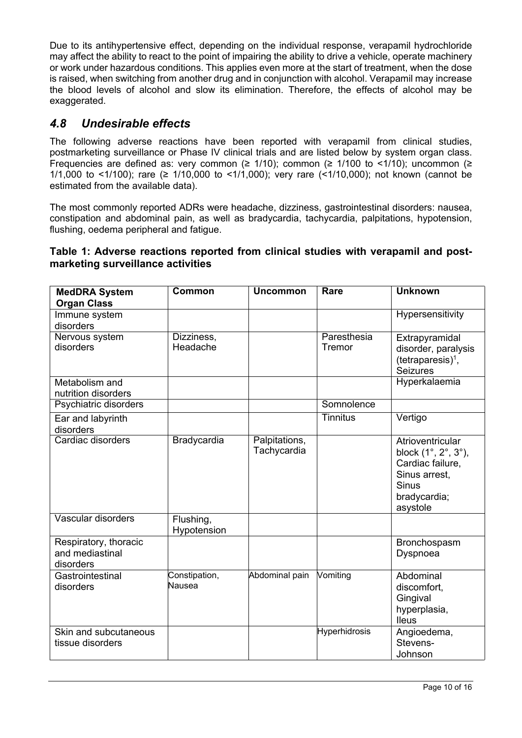Due to its antihypertensive effect, depending on the individual response, verapamil hydrochloride may affect the ability to react to the point of impairing the ability to drive a vehicle, operate machinery or work under hazardous conditions. This applies even more at the start of treatment, when the dose is raised, when switching from another drug and in conjunction with alcohol. Verapamil may increase the blood levels of alcohol and slow its elimination. Therefore, the effects of alcohol may be exaggerated.

## *4.8 Undesirable effects*

The following adverse reactions have been reported with verapamil from clinical studies, postmarketing surveillance or Phase IV clinical trials and are listed below by system organ class. Frequencies are defined as: very common ( $\geq$  1/10); common ( $\geq$  1/100 to <1/10); uncommon ( $\geq$ 1/1,000 to <1/100); rare (≥ 1/10,000 to <1/1,000); very rare (<1/10,000); not known (cannot be estimated from the available data).

The most commonly reported ADRs were headache, dizziness, gastrointestinal disorders: nausea, constipation and abdominal pain, as well as bradycardia, tachycardia, palpitations, hypotension, flushing, oedema peripheral and fatigue.

## **Table 1: Adverse reactions reported from clinical studies with verapamil and postmarketing surveillance activities**

| <b>MedDRA System</b><br><b>Organ Class</b>            | Common                   | <b>Uncommon</b>              | Rare                  | <b>Unknown</b>                                                                                                           |
|-------------------------------------------------------|--------------------------|------------------------------|-----------------------|--------------------------------------------------------------------------------------------------------------------------|
| Immune system<br>disorders                            |                          |                              |                       | Hypersensitivity                                                                                                         |
| Nervous system<br>disorders                           | Dizziness,<br>Headache   |                              | Paresthesia<br>Tremor | Extrapyramidal<br>disorder, paralysis<br>$(tetraparesis)1$ ,<br><b>Seizures</b>                                          |
| Metabolism and<br>nutrition disorders                 |                          |                              |                       | Hyperkalaemia                                                                                                            |
| Psychiatric disorders                                 |                          |                              | Somnolence            |                                                                                                                          |
| Ear and labyrinth<br>disorders                        |                          |                              | <b>Tinnitus</b>       | Vertigo                                                                                                                  |
| Cardiac disorders                                     | Bradycardia              | Palpitations,<br>Tachycardia |                       | Atrioventricular<br>block (1°, 2°, 3°),<br>Cardiac failure,<br>Sinus arrest,<br><b>Sinus</b><br>bradycardia;<br>asystole |
| Vascular disorders                                    | Flushing,<br>Hypotension |                              |                       |                                                                                                                          |
| Respiratory, thoracic<br>and mediastinal<br>disorders |                          |                              |                       | Bronchospasm<br>Dyspnoea                                                                                                 |
| Gastrointestinal<br>disorders                         | Constipation,<br>Nausea  | Abdominal pain               | Vomiting              | Abdominal<br>discomfort,<br>Gingival<br>hyperplasia,<br><b>Ileus</b>                                                     |
| Skin and subcutaneous<br>tissue disorders             |                          |                              | Hyperhidrosis         | Angioedema,<br>Stevens-<br>Johnson                                                                                       |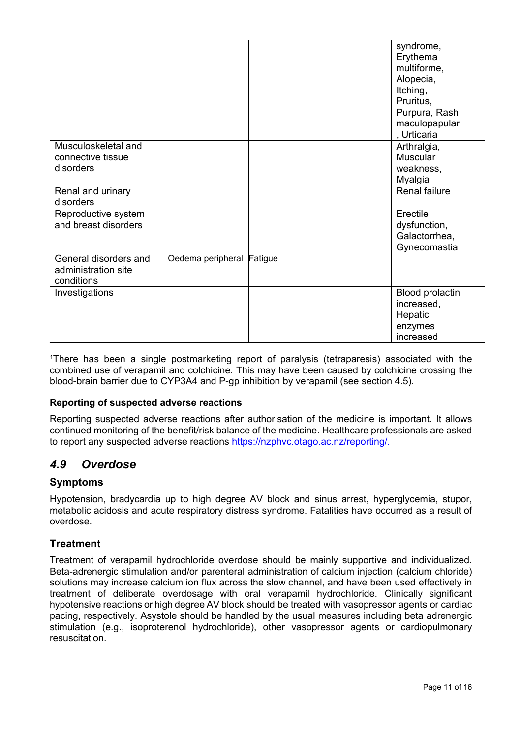|                                                            |                           |  | syndrome,<br>Erythema<br>multiforme,<br>Alopecia,<br>Itching,<br>Pruritus,<br>Purpura, Rash<br>maculopapular<br>, Urticaria |
|------------------------------------------------------------|---------------------------|--|-----------------------------------------------------------------------------------------------------------------------------|
| Musculoskeletal and<br>connective tissue<br>disorders      |                           |  | Arthralgia,<br><b>Muscular</b><br>weakness,<br>Myalgia                                                                      |
| Renal and urinary<br>disorders                             |                           |  | <b>Renal failure</b>                                                                                                        |
| Reproductive system<br>and breast disorders                |                           |  | Erectile<br>dysfunction,<br>Galactorrhea,<br>Gynecomastia                                                                   |
| General disorders and<br>administration site<br>conditions | Oedema peripheral Fatigue |  |                                                                                                                             |
| Investigations                                             |                           |  | <b>Blood prolactin</b><br>increased,<br>Hepatic<br>enzymes<br>increased                                                     |

<sup>1</sup>There has been a single postmarketing report of paralysis (tetraparesis) associated with the combined use of verapamil and colchicine. This may have been caused by colchicine crossing the blood-brain barrier due to CYP3A4 and P-gp inhibition by verapamil (see section 4.5).

## **Reporting of suspected adverse reactions**

Reporting suspected adverse reactions after authorisation of the medicine is important. It allows continued monitoring of the benefit/risk balance of the medicine. Healthcare professionals are asked to report any suspected adverse reactions https://nzphvc.otago.ac.nz/reporting/.

# *4.9 Overdose*

## **Symptoms**

Hypotension, bradycardia up to high degree AV block and sinus arrest, hyperglycemia, stupor, metabolic acidosis and acute respiratory distress syndrome. Fatalities have occurred as a result of overdose.

## **Treatment**

Treatment of verapamil hydrochloride overdose should be mainly supportive and individualized. Beta-adrenergic stimulation and/or parenteral administration of calcium injection (calcium chloride) solutions may increase calcium ion flux across the slow channel, and have been used effectively in treatment of deliberate overdosage with oral verapamil hydrochloride. Clinically significant hypotensive reactions or high degree AV block should be treated with vasopressor agents or cardiac pacing, respectively. Asystole should be handled by the usual measures including beta adrenergic stimulation (e.g., isoproterenol hydrochloride), other vasopressor agents or cardiopulmonary resuscitation.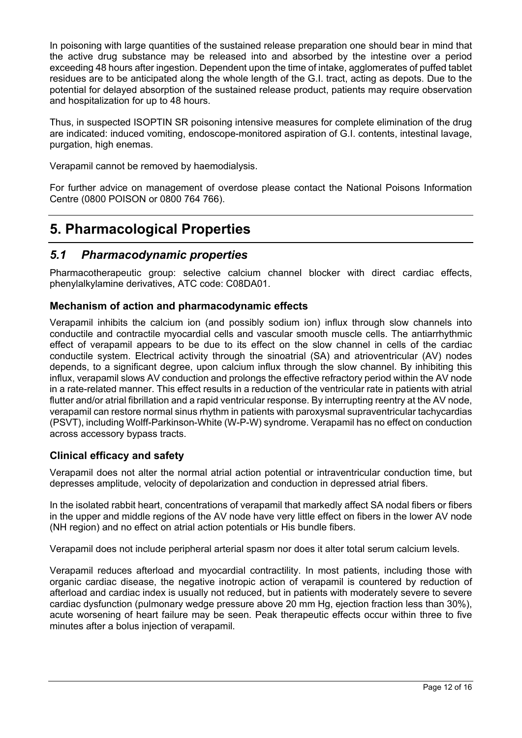In poisoning with large quantities of the sustained release preparation one should bear in mind that the active drug substance may be released into and absorbed by the intestine over a period exceeding 48 hours after ingestion. Dependent upon the time of intake, agglomerates of puffed tablet residues are to be anticipated along the whole length of the G.I. tract, acting as depots. Due to the potential for delayed absorption of the sustained release product, patients may require observation and hospitalization for up to 48 hours.

Thus, in suspected ISOPTIN SR poisoning intensive measures for complete elimination of the drug are indicated: induced vomiting, endoscope-monitored aspiration of G.I. contents, intestinal lavage, purgation, high enemas.

Verapamil cannot be removed by haemodialysis.

For further advice on management of overdose please contact the National Poisons Information Centre (0800 POISON or 0800 764 766).

# **5. Pharmacological Properties**

## *5.1 Pharmacodynamic properties*

Pharmacotherapeutic group: selective calcium channel blocker with direct cardiac effects, phenylalkylamine derivatives, ATC code: C08DA01.

## **Mechanism of action and pharmacodynamic effects**

Verapamil inhibits the calcium ion (and possibly sodium ion) influx through slow channels into conductile and contractile myocardial cells and vascular smooth muscle cells. The antiarrhythmic effect of verapamil appears to be due to its effect on the slow channel in cells of the cardiac conductile system. Electrical activity through the sinoatrial (SA) and atrioventricular (AV) nodes depends, to a significant degree, upon calcium influx through the slow channel. By inhibiting this influx, verapamil slows AV conduction and prolongs the effective refractory period within the AV node in a rate-related manner. This effect results in a reduction of the ventricular rate in patients with atrial flutter and/or atrial fibrillation and a rapid ventricular response. By interrupting reentry at the AV node, verapamil can restore normal sinus rhythm in patients with paroxysmal supraventricular tachycardias (PSVT), including Wolff-Parkinson-White (W-P-W) syndrome. Verapamil has no effect on conduction across accessory bypass tracts.

## **Clinical efficacy and safety**

Verapamil does not alter the normal atrial action potential or intraventricular conduction time, but depresses amplitude, velocity of depolarization and conduction in depressed atrial fibers.

In the isolated rabbit heart, concentrations of verapamil that markedly affect SA nodal fibers or fibers in the upper and middle regions of the AV node have very little effect on fibers in the lower AV node (NH region) and no effect on atrial action potentials or His bundle fibers.

Verapamil does not include peripheral arterial spasm nor does it alter total serum calcium levels.

Verapamil reduces afterload and myocardial contractility. In most patients, including those with organic cardiac disease, the negative inotropic action of verapamil is countered by reduction of afterload and cardiac index is usually not reduced, but in patients with moderately severe to severe cardiac dysfunction (pulmonary wedge pressure above 20 mm Hg, ejection fraction less than 30%), acute worsening of heart failure may be seen. Peak therapeutic effects occur within three to five minutes after a bolus injection of verapamil.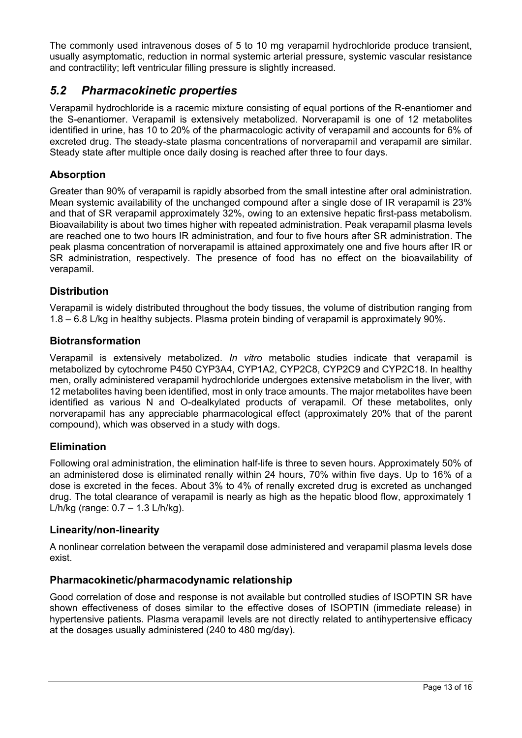The commonly used intravenous doses of 5 to 10 mg verapamil hydrochloride produce transient, usually asymptomatic, reduction in normal systemic arterial pressure, systemic vascular resistance and contractility; left ventricular filling pressure is slightly increased.

# *5.2 Pharmacokinetic properties*

Verapamil hydrochloride is a racemic mixture consisting of equal portions of the R-enantiomer and the S-enantiomer. Verapamil is extensively metabolized. Norverapamil is one of 12 metabolites identified in urine, has 10 to 20% of the pharmacologic activity of verapamil and accounts for 6% of excreted drug. The steady-state plasma concentrations of norverapamil and verapamil are similar. Steady state after multiple once daily dosing is reached after three to four days.

## **Absorption**

Greater than 90% of verapamil is rapidly absorbed from the small intestine after oral administration. Mean systemic availability of the unchanged compound after a single dose of IR verapamil is 23% and that of SR verapamil approximately 32%, owing to an extensive hepatic first-pass metabolism. Bioavailability is about two times higher with repeated administration. Peak verapamil plasma levels are reached one to two hours IR administration, and four to five hours after SR administration. The peak plasma concentration of norverapamil is attained approximately one and five hours after IR or SR administration, respectively. The presence of food has no effect on the bioavailability of verapamil.

## **Distribution**

Verapamil is widely distributed throughout the body tissues, the volume of distribution ranging from 1.8 – 6.8 L/kg in healthy subjects. Plasma protein binding of verapamil is approximately 90%.

## **Biotransformation**

Verapamil is extensively metabolized. *In vitro* metabolic studies indicate that verapamil is metabolized by cytochrome P450 CYP3A4, CYP1A2, CYP2C8, CYP2C9 and CYP2C18. In healthy men, orally administered verapamil hydrochloride undergoes extensive metabolism in the liver, with 12 metabolites having been identified, most in only trace amounts. The major metabolites have been identified as various N and O-dealkylated products of verapamil. Of these metabolites, only norverapamil has any appreciable pharmacological effect (approximately 20% that of the parent compound), which was observed in a study with dogs.

## **Elimination**

Following oral administration, the elimination half-life is three to seven hours. Approximately 50% of an administered dose is eliminated renally within 24 hours, 70% within five days. Up to 16% of a dose is excreted in the feces. About 3% to 4% of renally excreted drug is excreted as unchanged drug. The total clearance of verapamil is nearly as high as the hepatic blood flow, approximately 1 L/h/kg (range: 0.7 – 1.3 L/h/kg).

## **Linearity/non-linearity**

A nonlinear correlation between the verapamil dose administered and verapamil plasma levels dose exist.

## **Pharmacokinetic/pharmacodynamic relationship**

Good correlation of dose and response is not available but controlled studies of ISOPTIN SR have shown effectiveness of doses similar to the effective doses of ISOPTIN (immediate release) in hypertensive patients. Plasma verapamil levels are not directly related to antihypertensive efficacy at the dosages usually administered (240 to 480 mg/day).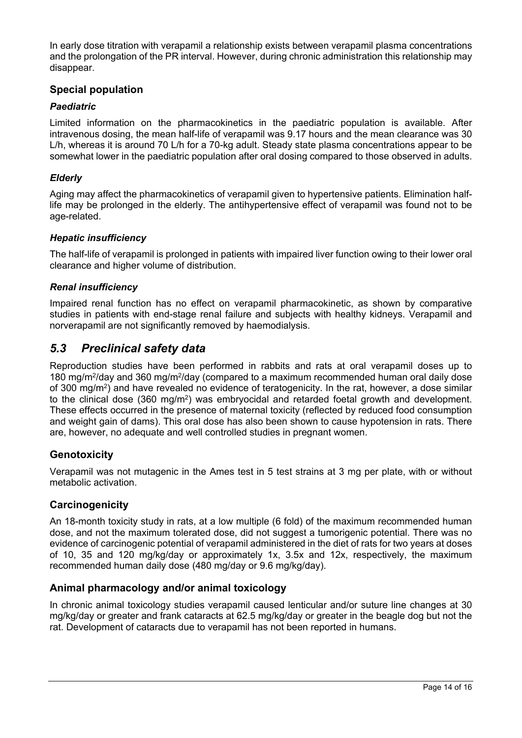In early dose titration with verapamil a relationship exists between verapamil plasma concentrations and the prolongation of the PR interval. However, during chronic administration this relationship may disappear.

## **Special population**

## *Paediatric*

Limited information on the pharmacokinetics in the paediatric population is available. After intravenous dosing, the mean half-life of verapamil was 9.17 hours and the mean clearance was 30 L/h, whereas it is around 70 L/h for a 70-kg adult. Steady state plasma concentrations appear to be somewhat lower in the paediatric population after oral dosing compared to those observed in adults.

## *Elderly*

Aging may affect the pharmacokinetics of verapamil given to hypertensive patients. Elimination halflife may be prolonged in the elderly. The antihypertensive effect of verapamil was found not to be age-related.

## *Hepatic insufficiency*

The half-life of verapamil is prolonged in patients with impaired liver function owing to their lower oral clearance and higher volume of distribution.

## *Renal insufficiency*

Impaired renal function has no effect on verapamil pharmacokinetic, as shown by comparative studies in patients with end-stage renal failure and subjects with healthy kidneys. Verapamil and norverapamil are not significantly removed by haemodialysis.

## *5.3 Preclinical safety data*

Reproduction studies have been performed in rabbits and rats at oral verapamil doses up to 180 mg/m<sup>2</sup>/day and 360 mg/m<sup>2</sup>/day (compared to a maximum recommended human oral daily dose of 300 mg/m<sup>2</sup> ) and have revealed no evidence of teratogenicity. In the rat, however, a dose similar to the clinical dose (360 mg/m<sup>2</sup>) was embryocidal and retarded foetal growth and development. These effects occurred in the presence of maternal toxicity (reflected by reduced food consumption and weight gain of dams). This oral dose has also been shown to cause hypotension in rats. There are, however, no adequate and well controlled studies in pregnant women.

## **Genotoxicity**

Verapamil was not mutagenic in the Ames test in 5 test strains at 3 mg per plate, with or without metabolic activation.

## **Carcinogenicity**

An 18-month toxicity study in rats, at a low multiple (6 fold) of the maximum recommended human dose, and not the maximum tolerated dose, did not suggest a tumorigenic potential. There was no evidence of carcinogenic potential of verapamil administered in the diet of rats for two years at doses of 10, 35 and 120 mg/kg/day or approximately 1x, 3.5x and 12x, respectively, the maximum recommended human daily dose (480 mg/day or 9.6 mg/kg/day).

## **Animal pharmacology and/or animal toxicology**

In chronic animal toxicology studies verapamil caused lenticular and/or suture line changes at 30 mg/kg/day or greater and frank cataracts at 62.5 mg/kg/day or greater in the beagle dog but not the rat. Development of cataracts due to verapamil has not been reported in humans.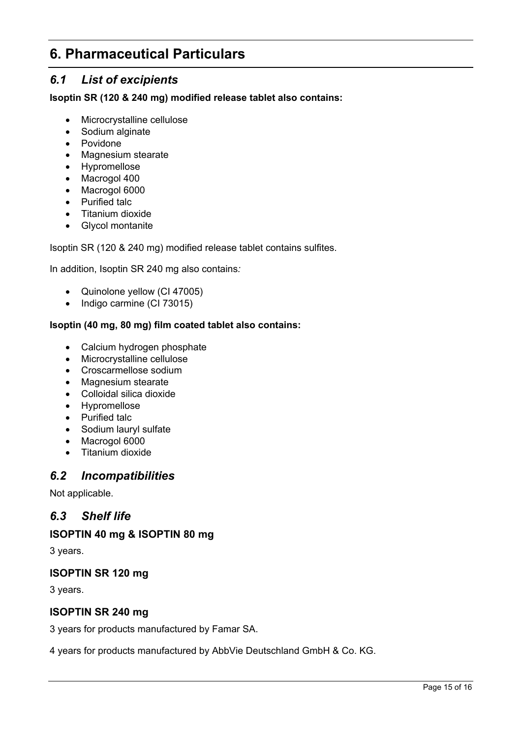# **6. Pharmaceutical Particulars**

# *6.1 List of excipients*

**Isoptin SR (120 & 240 mg) modified release tablet also contains:**

- Microcrystalline cellulose
- Sodium alginate
- Povidone
- Magnesium stearate
- Hypromellose
- Macrogol 400
- Macrogol 6000
- Purified talc
- Titanium dioxide
- Glycol montanite

Isoptin SR (120 & 240 mg) modified release tablet contains sulfites.

In addition, Isoptin SR 240 mg also contains*:*

- Quinolone yellow (CI 47005)
- Indigo carmine (CI 73015)

## **Isoptin (40 mg, 80 mg) film coated tablet also contains:**

- Calcium hydrogen phosphate
- Microcrystalline cellulose
- Croscarmellose sodium
- Magnesium stearate
- Colloidal silica dioxide
- Hypromellose
- Purified talc
- Sodium lauryl sulfate
- Macrogol 6000
- Titanium dioxide

## *6.2 Incompatibilities*

Not applicable.

## *6.3 Shelf life*

## **ISOPTIN 40 mg & ISOPTIN 80 mg**

3 years.

## **ISOPTIN SR 120 mg**

3 years.

## **ISOPTIN SR 240 mg**

3 years for products manufactured by Famar SA.

4 years for products manufactured by AbbVie Deutschland GmbH & Co. KG.